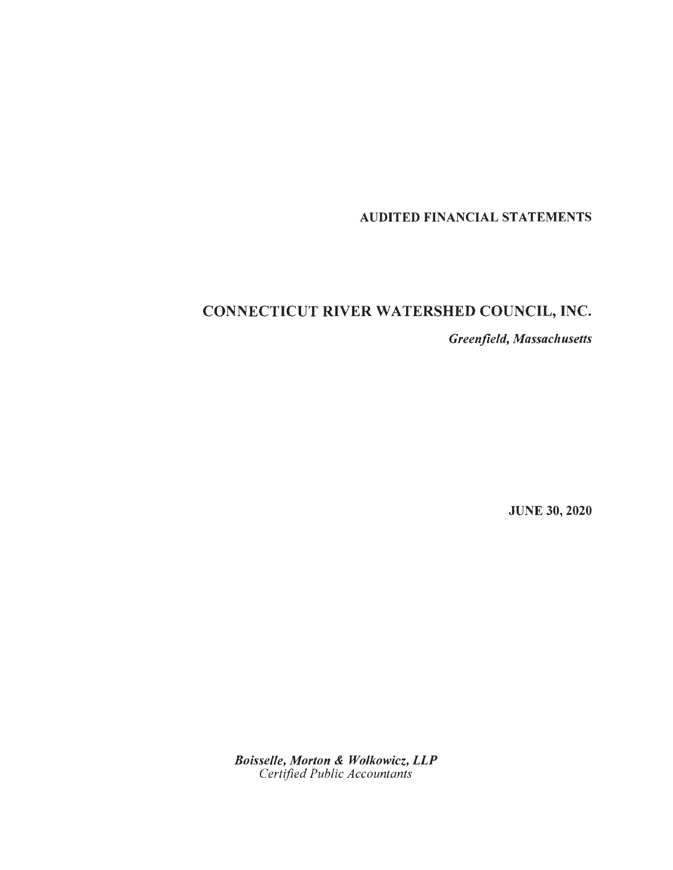# AUDITED FINANCIAL STATEMENTS

# CONNECTICUT RIVER WATERSHED COUNCIL, INC.

*Greenfield, Massachusetts* 

JUNE 30, 2020

*Boisselle, Morton* & *Wolkowicz, LLP Certified Public Accountants*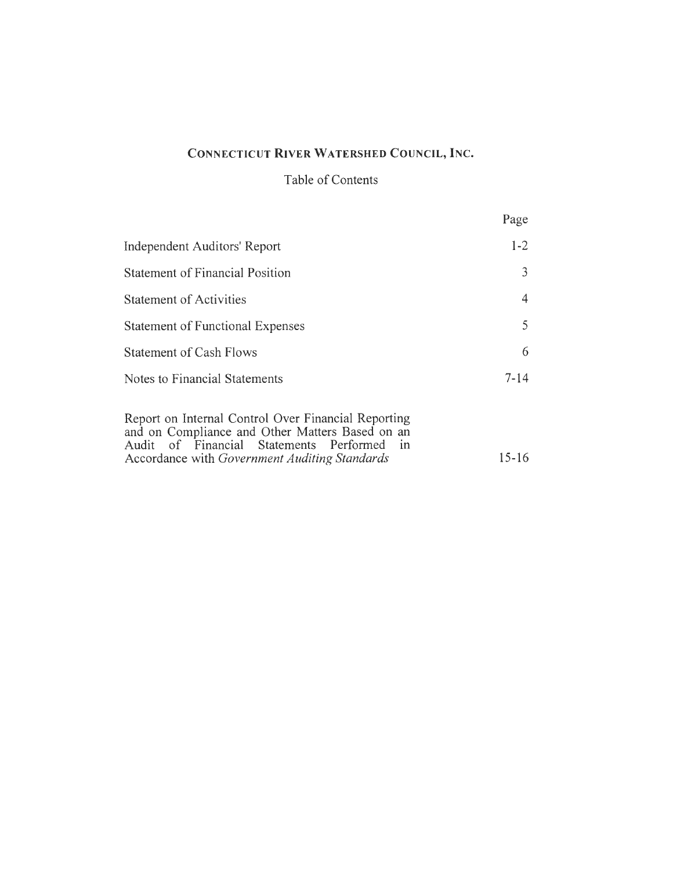# Table of Contents

|                                                                                                        | Page     |
|--------------------------------------------------------------------------------------------------------|----------|
| Independent Auditors' Report                                                                           | $1 - 2$  |
| <b>Statement of Financial Position</b>                                                                 | 3        |
| <b>Statement of Activities</b>                                                                         | 4        |
| <b>Statement of Functional Expenses</b>                                                                | 5        |
| <b>Statement of Cash Flows</b>                                                                         | 6        |
| Notes to Financial Statements                                                                          | $7 - 14$ |
| Report on Internal Control Over Financial Reporting<br>and on Compliance and Other Matters Based on an |          |

Audit of Financial Statements Performed in Accordance with *Government Auditing Standards*  15-16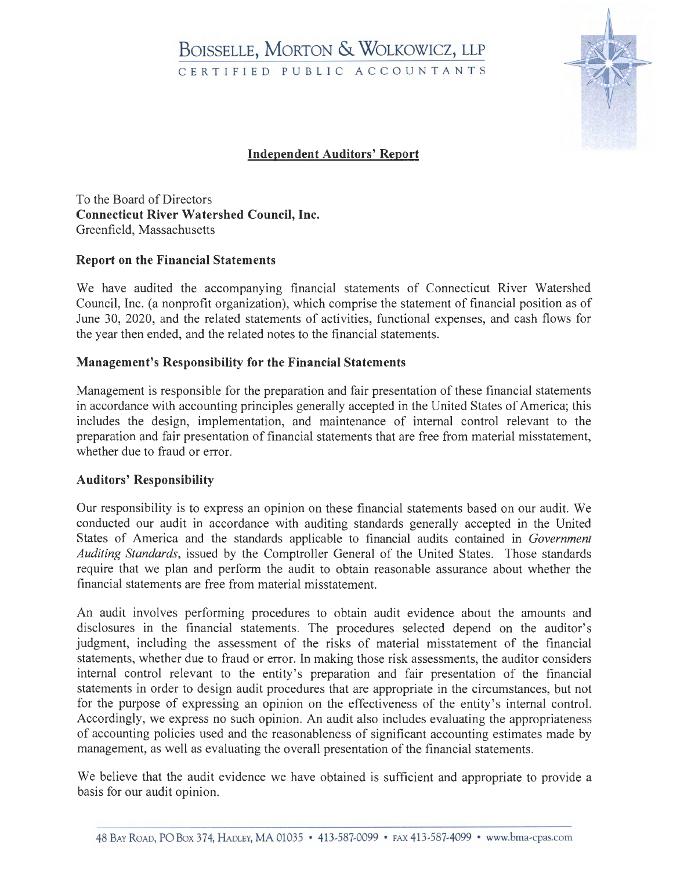Bo1ssELLE, MoRTON & WoLKow1cz, LLP CERTIFIED PUBLIC ACCOUNTANTS



# **Independent Auditors' Report**

To the Board of Directors **Connecticut River Watershed Council, Inc.**  Greenfield, Massachusetts

### **Report on the Financial Statements**

We have audited the accompanying financial statements of Connecticut River Watershed Council, Inc. (a nonprofit organization), which comprise the statement of financial position as of June 30, 2020, and the related statements of activities, functional expenses, and cash flows for the year then ended, and the related notes to the financial statements.

### **Management's Responsibility for the Financial Statements**

Management is responsible for the preparation and fair presentation of these financial statements in accordance with accounting principles generally accepted in the United States of America; this includes the design, implementation, and maintenance of internal control relevant to the preparation and fair presentation of financial statements that are free from material misstatement, whether due to fraud or error.

### **Auditors' Responsibility**

Our responsibility is to express an opinion on these financial statements based on our audit. We conducted our audit in accordance with auditing standards generally accepted in the United States of America and the standards applicable to financial audits contained in *Government Auditing Standards,* issued by the Comptroller General of the United States. Those standards require that we plan and perform the audit to obtain reasonable assurance about whether the financial statements are free from material misstatement.

An audit involves performing procedures to obtain audit evidence about the amounts and disclosures in the financial statements. The procedures selected depend on the auditor's judgment, including the assessment of the risks of material misstatement of the financial statements, whether due to fraud or error. In making those risk assessments, the auditor considers internal control relevant to the entity's preparation and fair presentation of the financial statements in order to design audit procedures that are appropriate in the circumstances, but not for the purpose of expressing an opinion on the effectiveness of the entity's internal control. Accordingly, we express no such opinion. An audit also includes evaluating the appropriateness of accounting policies used and the reasonableness of significant accounting estimates made by management, as well as evaluating the overall presentation of the financial statements.

We believe that the audit evidence we have obtained is sufficient and appropriate to provide a basis for our audit opinion.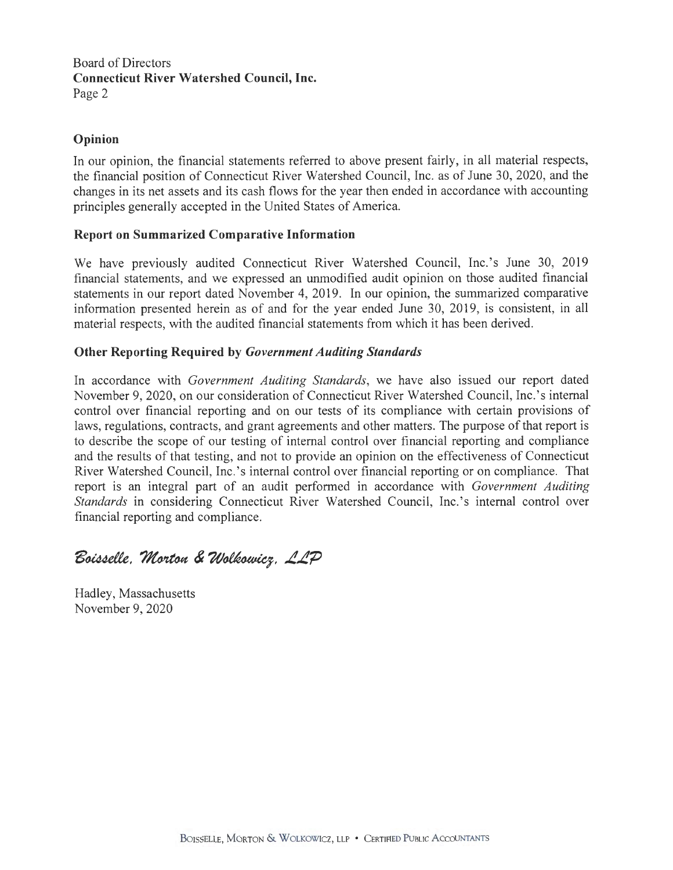# Board of Directors **Connecticut River Watershed Council, Inc.**  Page 2

# **Opinion**

In our opinion, the financial statements referred to above present fairly, in all material respects, the financial position of Connecticut River Watershed Council, Inc. as of June 30, 2020, and the changes in its net assets and its cash flows for the year then ended in accordance with accounting principles generally accepted in the United States of America.

# **Report on Summarized Comparative Information**

We have previously audited Connecticut River Watershed Council, Inc.'s June 30, 2019 financial statements, and we expressed an unmodified audit opinion on those audited financial statements in our report dated November 4, 2019. In our opinion, the summarized comparative information presented herein as of and for the year ended June 30, 2019, is consistent, in all material respects, with the audited financial statements from which it has been derived.

## **Other Reporting Required by** *Government Auditing Standards*

In accordance with *Government Auditing Standards,* we have also issued our report dated November 9, 2020, on our consideration of Connecticut River Watershed Council, Inc.'s internal control over financial reporting and on our tests of its compliance with certain provisions of laws, regulations, contracts, and grant agreements and other matters. The purpose of that report is to describe the scope of our testing of internal control over financial reporting and compliance and the results of that testing, and not to provide an opinion on the effectiveness of Connecticut River Watershed Council, Inc. 's internal control over financial reporting or on compliance. That report is an integral part of an audit performed in accordance with *Government Auditing Standards* in considering Connecticut River Watershed Council, Inc. 's internal control over financial reporting and compliance.

# Boisselle, Morton & Wolkowicz, LLP

Hadley, Massachusetts November 9, 2020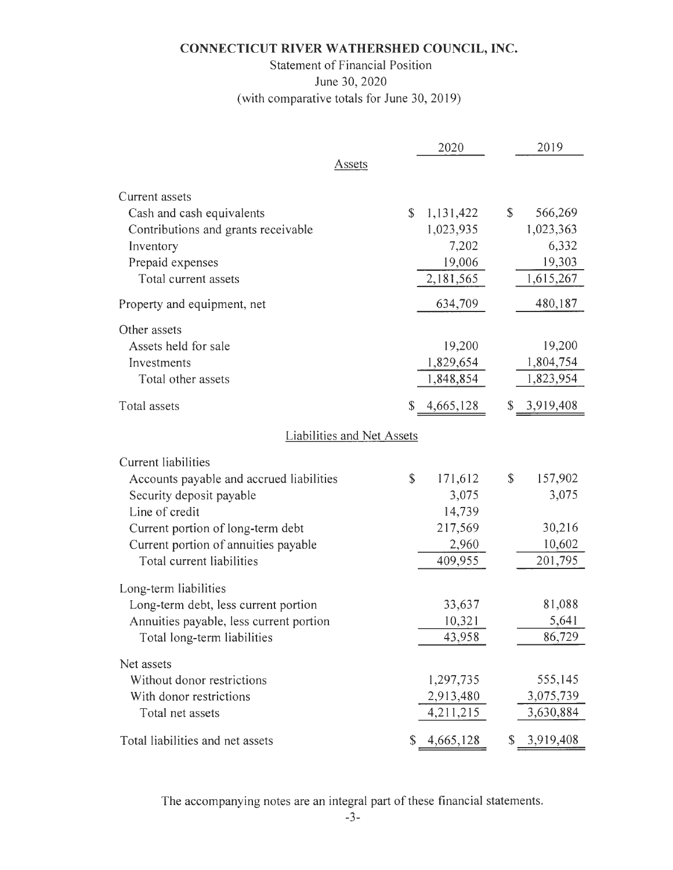# Statement of Financial Position June 30, 2020 (with comparative totals for June 30, 2019)

|                                          |               | 2020      |              | 2019      |
|------------------------------------------|---------------|-----------|--------------|-----------|
| <b>Assets</b>                            |               |           |              |           |
| Current assets                           |               |           |              |           |
| Cash and cash equivalents                | S             | 1,131,422 | $\mathbb{S}$ | 566,269   |
| Contributions and grants receivable      |               | 1,023,935 |              | 1,023,363 |
| Inventory                                |               | 7,202     |              | 6,332     |
| Prepaid expenses                         |               | 19,006    |              | 19,303    |
| Total current assets                     |               | 2,181,565 |              | 1,615,267 |
| Property and equipment, net              |               | 634,709   |              | 480,187   |
| Other assets                             |               |           |              |           |
| Assets held for sale                     |               | 19,200    |              | 19,200    |
| Investments                              |               | 1,829,654 |              | 1,804,754 |
| Total other assets                       |               | 1,848,854 |              | 1,823,954 |
| Total assets                             |               | 4,665,128 |              | 3,919,408 |
| Liabilities and Net Assets               |               |           |              |           |
| Current liabilities                      |               |           |              |           |
| Accounts payable and accrued liabilities | $\mathcal{S}$ | 171,612   | \$           | 157,902   |
| Security deposit payable                 |               | 3,075     |              | 3,075     |
| Line of credit                           |               | 14,739    |              |           |
| Current portion of long-term debt        |               | 217,569   |              | 30,216    |
| Current portion of annuities payable     |               | 2,960     |              | 10,602    |
| Total current liabilities                |               | 409,955   |              | 201,795   |
| Long-term liabilities                    |               |           |              |           |
| Long-term debt, less current portion     |               | 33,637    |              | 81,088    |
| Annuities payable, less current portion  |               | 10,321    |              | 5,641     |
| Total long-term liabilities              |               | 43,958    |              | 86,729    |
| Net assets                               |               |           |              |           |
| Without donor restrictions               |               | 1,297,735 |              | 555,145   |
| With donor restrictions                  |               | 2,913,480 |              | 3,075,739 |
| Total net assets                         |               | 4,211,215 |              | 3,630,884 |
| Total liabilities and net assets         |               | 4,665,128 | \$           | 3,919,408 |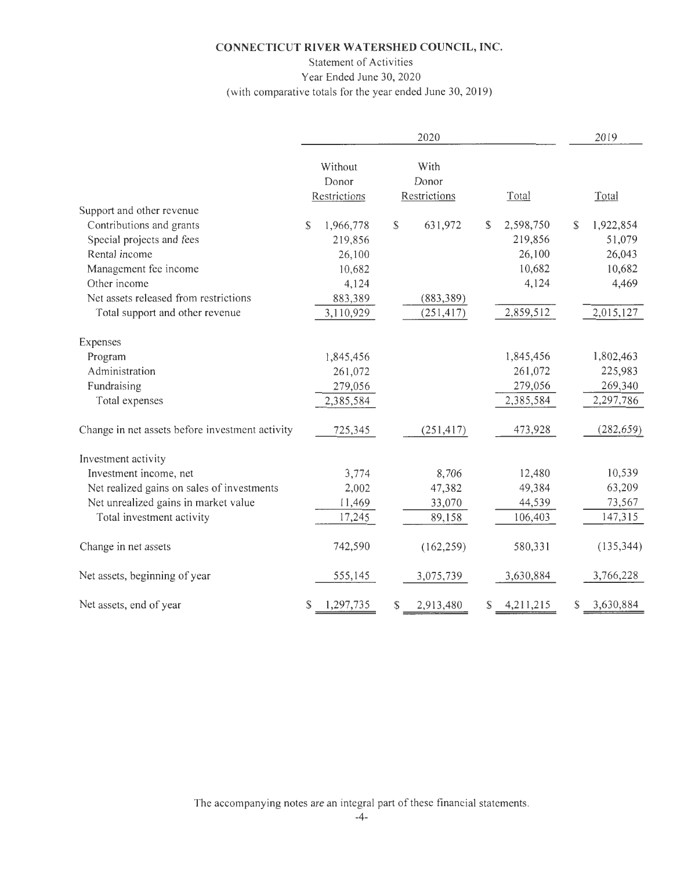### Statement of Activities Year Ended June 30, 2020 (with comparative totals for the year ended June 30, 2019)

|                                                 | 2020 |                  |             |               |              |           |   | 2019       |
|-------------------------------------------------|------|------------------|-------------|---------------|--------------|-----------|---|------------|
|                                                 |      | Without<br>Donor |             | With<br>Donor |              |           |   |            |
|                                                 |      | Restrictions     |             | Restrictions  |              | Total     |   | Total      |
| Support and other revenue                       |      |                  |             |               |              |           |   |            |
| Contributions and grants                        | S    | 1,966,778        | $\mathbb S$ | 631,972       | \$           | 2,598,750 | S | 1,922,854  |
| Special projects and fees                       |      | 219,856          |             |               |              | 219,856   |   | 51,079     |
| Rental income                                   |      | 26,100           |             |               |              | 26,100    |   | 26,043     |
| Management fee income                           |      | 10,682           |             |               |              | 10,682    |   | 10,682     |
| Other income                                    |      | 4,124            |             |               |              | 4,124     |   | 4,469      |
| Net assets released from restrictions           |      | 883,389          |             | (883, 389)    |              |           |   |            |
| Total support and other revenue                 |      | 3,110,929        |             | (251, 417)    |              | 2,859,512 |   | 2,015,127  |
| Expenses                                        |      |                  |             |               |              |           |   |            |
| Program                                         |      | 1,845,456        |             |               |              | 1,845,456 |   | 1,802,463  |
| Administration                                  |      | 261,072          |             |               |              | 261,072   |   | 225,983    |
| Fundraising                                     |      | 279,056          |             |               |              | 279,056   |   | 269,340    |
| Total expenses                                  |      | 2,385,584        |             |               |              | 2,385,584 |   | 2,297,786  |
| Change in net assets before investment activity |      | 725,345          |             | (251, 417)    |              | 473,928   |   | (282, 659) |
| Investment activity                             |      |                  |             |               |              |           |   |            |
| Investment income, net                          |      | 3,774            |             | 8,706         |              | 12,480    |   | 10,539     |
| Net realized gains on sales of investments      |      | 2,002            |             | 47,382        |              | 49,384    |   | 63,209     |
| Net unrealized gains in market value            |      | 11,469           |             | 33,070        |              | 44,539    |   | 73,567     |
| Total investment activity                       |      | 17,245           |             | 89,158        |              | 106,403   |   | 147,315    |
| Change in net assets                            |      | 742,590          |             | (162, 259)    |              | 580,331   |   | (135, 344) |
| Net assets, beginning of year                   |      | 555,145          |             | 3,075,739     |              | 3,630,884 |   | 3,766,228  |
| Net assets, end of year                         | \$   | 1,297,735        | \$          | 2,913,480     | $\mathbb{S}$ | 4,211,215 | S | 3,630,884  |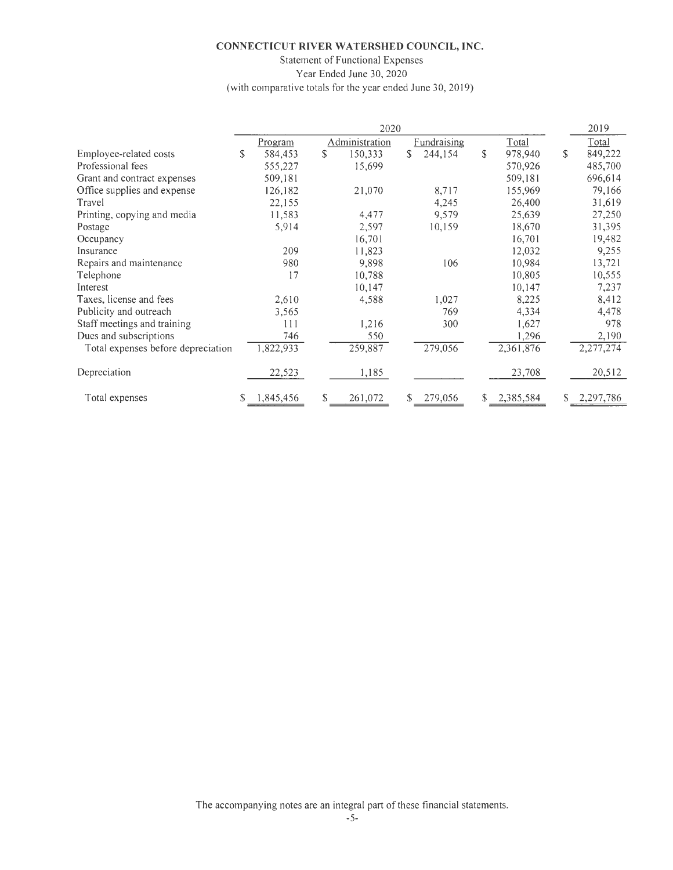### Statement of Functional Expenses Year Ended June 30, 2020 (with comparative totals for the year ended June 30, 2019)

|                                    | 2020 |           |    |                |    | 2019        |             |           |    |           |
|------------------------------------|------|-----------|----|----------------|----|-------------|-------------|-----------|----|-----------|
|                                    |      | Program   |    | Administration |    | Fundraising |             | Total     |    | Total     |
| Employee-related costs             | S.   | 584,453   | \$ | 150,333        | S  | 244,154     | $\mathbf S$ | 978,940   | S  | 849,222   |
| Professional fees                  |      | 555,227   |    | 15,699         |    |             |             | 570,926   |    | 485,700   |
| Grant and contract expenses        |      | 509,181   |    |                |    |             |             | 509,181   |    | 696,614   |
| Office supplies and expense        |      | 126,182   |    | 21,070         |    | 8,717       |             | 155,969   |    | 79,166    |
| Travel                             |      | 22,155    |    |                |    | 4,245       |             | 26,400    |    | 31,619    |
| Printing, copying and media        |      | 11,583    |    | 4,477          |    | 9,579       |             | 25,639    |    | 27,250    |
| Postage                            |      | 5,914     |    | 2,597          |    | 10,159      |             | 18,670    |    | 31,395    |
| Occupancy                          |      |           |    | 16,701         |    |             |             | 16,701    |    | 19,482    |
| Insurance                          |      | 209       |    | 11,823         |    |             |             | 12,032    |    | 9,255     |
| Repairs and maintenance            |      | 980       |    | 9,898          |    | 106         |             | 10,984    |    | 13,721    |
| Telephone                          |      | 17        |    | 10,788         |    |             |             | 10,805    |    | 10,555    |
| Interest                           |      |           |    | 10,147         |    |             |             | 10,147    |    | 7,237     |
| Taxes, license and fees            |      | 2,610     |    | 4,588          |    | 1,027       |             | 8,225     |    | 8,412     |
| Publicity and outreach             |      | 3,565     |    |                |    | 769         |             | 4,334     |    | 4,478     |
| Staff meetings and training        |      | 111       |    | 1,216          |    | 300         |             | 1,627     |    | 978       |
| Dues and subscriptions             |      | 746       |    | 550            |    |             |             | 1,296     |    | 2,190     |
| Total expenses before depreciation |      | 1,822,933 |    | 259,887        |    | 279,056     |             | 2,361,876 |    | 2,277,274 |
| Depreciation                       |      | 22,523    |    | 1,185          |    |             |             | 23,708    |    | 20,512    |
| Total expenses                     | S    | 1,845,456 | S. | 261,072        | \$ | 279,056     | \$          | 2,385,584 | S. | 2,297,786 |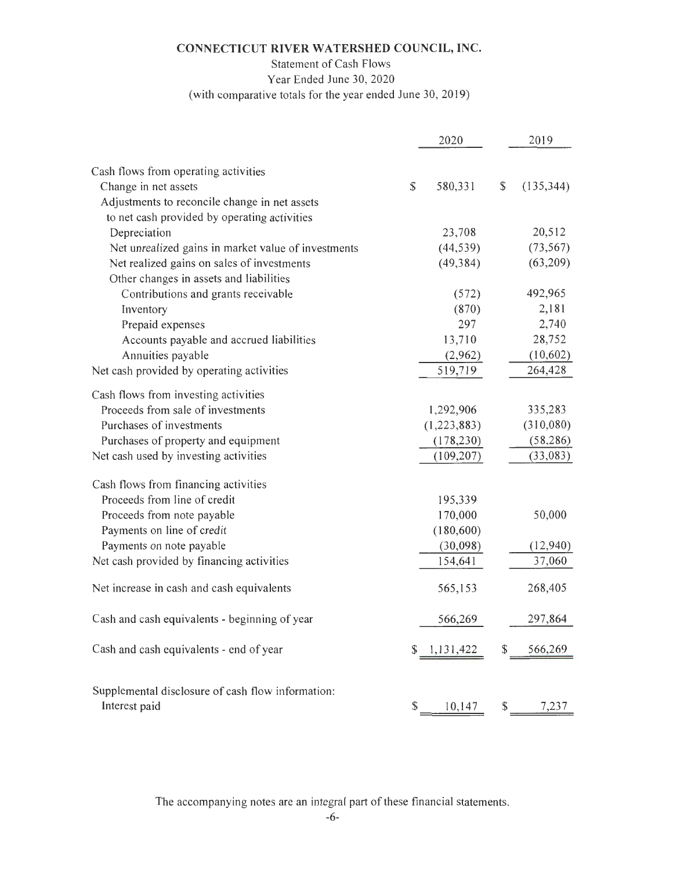### Statement of Cash Flows

Year Ended June 30, 2020

(with comparative totals for the year ended June 30, 2019)

|                                                                       | 2020                  | 2019                         |
|-----------------------------------------------------------------------|-----------------------|------------------------------|
|                                                                       |                       |                              |
| Cash flows from operating activities                                  | \$<br>580,331         | \$<br>(135, 344)             |
| Change in net assets<br>Adjustments to reconcile change in net assets |                       |                              |
|                                                                       |                       |                              |
| to net cash provided by operating activities<br>Depreciation          | 23,708                | 20,512                       |
| Net unrealized gains in market value of investments                   | (44, 539)             | (73, 567)                    |
|                                                                       | (49, 384)             | (63,209)                     |
| Net realized gains on sales of investments                            |                       |                              |
| Other changes in assets and liabilities                               |                       | 492,965                      |
| Contributions and grants receivable                                   | (572)                 | 2,181                        |
| Inventory                                                             | (870)<br>297          | 2,740                        |
| Prepaid expenses                                                      |                       |                              |
| Accounts payable and accrued liabilities                              | 13,710                | 28,752                       |
| Annuities payable                                                     | (2,962)               | (10,602)                     |
| Net cash provided by operating activities                             | 519,719               | 264,428                      |
| Cash flows from investing activities                                  |                       |                              |
| Proceeds from sale of investments                                     | 1,292,906             | 335,283                      |
| Purchases of investments                                              | (1, 223, 883)         | (310,080)                    |
| Purchases of property and equipment                                   | (178, 230)            | (58, 286)                    |
| Net cash used by investing activities                                 | (109, 207)            | (33,083)                     |
|                                                                       |                       |                              |
| Cash flows from financing activities                                  |                       |                              |
| Proceeds from line of credit                                          | 195,339               |                              |
| Proceeds from note payable                                            | 170,000               | 50,000                       |
| Payments on line of credit                                            | (180, 600)            |                              |
| Payments on note payable                                              | (30,098)              | (12,940)                     |
| Net cash provided by financing activities                             | 154,641               | 37,060                       |
| Net increase in cash and cash equivalents                             | 565,153               | 268,405                      |
| Cash and cash equivalents - beginning of year                         | 566,269               | 297,864                      |
|                                                                       |                       |                              |
| Cash and cash equivalents - end of year                               | $\frac{1,131,422}{2}$ | $S$ <sub>--</sub><br>566,269 |
|                                                                       |                       |                              |
| Supplemental disclosure of cash flow information:<br>Interest paid    | \$<br>10,147          | \$<br>7,237                  |
|                                                                       |                       |                              |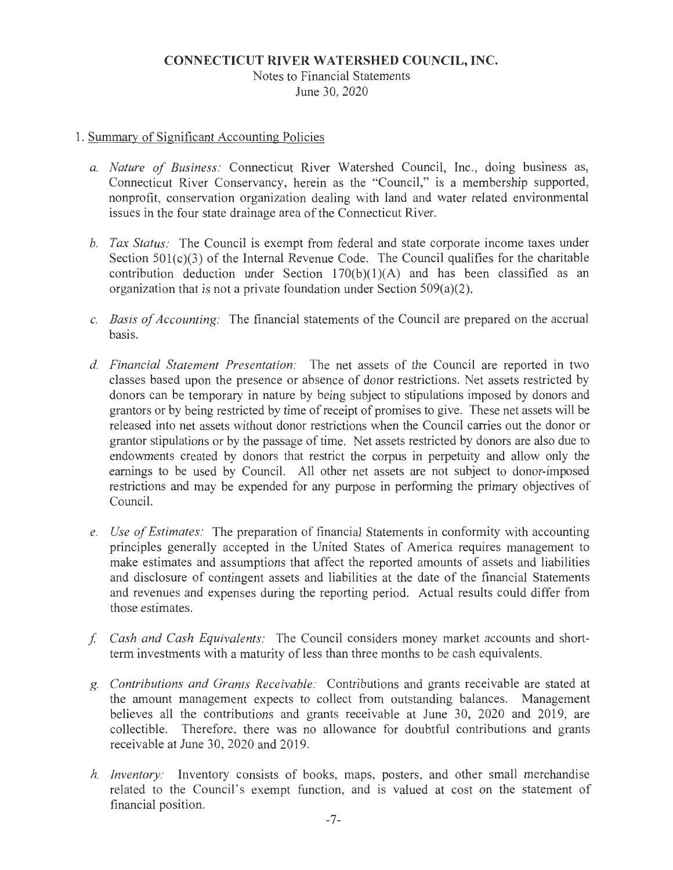### **CONNECTICUT RIVER WATERSHED COUNCIL, INC.**  Notes to Financial Statements June 30, 2020

### 1. Summary of Significant Accounting Policies

- *a. Nature of Business:* Connecticut River Watershed Council, Inc., doing business as, Connecticut River Conservancy, herein as the "Council," is a membership supported, nonprofit, conservation organization dealing with land and water related environmental issues in the four state drainage area of the Connecticut River.
- *b. Tax Status:* The Council is exempt from federal and state corporate income taxes under Section  $501(c)(3)$  of the Internal Revenue Code. The Council qualifies for the charitable contribution deduction under Section  $170(b)(1)(A)$  and has been classified as an organization that is not a private foundation under Section 509(a)(2).
- *c. Basis of Accounting:* The financial statements of the Council are prepared on the accrual basis.
- *d. Financial Statement Presentation:* The net assets of the Council are reported in two classes based upon the presence or absence of donor restrictions. Net assets restricted by donors can be temporary in nature by being subject to stipulations imposed by donors and grantors or by being restricted by time of receipt of promises to give. These net assets will be released into net assets without donor restrictions when the Council carries out the donor or grantor stipulations or by the passage of time. Net assets restricted by donors are also due to endowments created by donors that restrict the corpus in perpetuity and allow only the earnings to be used by Council. All other net assets are not subject to donor-imposed restrictions and may be expended for any purpose in performing the primary objectives of Council.
- *e. Use of Estimates:* The preparation of financial Statements in conformity with accounting principles generally accepted in the United States of America requires management to make estimates and assumptions that affect the reported amounts of assets and liabilities and disclosure of contingent assets and liabilities at the date of the financial Statements and revenues and expenses during the reporting period. Actual results could differ from those estimates.
- *f Cash and Cash Equivalents:* The Council considers money market accounts and shortterm investments with a maturity of less than three months to be cash equivalents.
- g. *Contributions and Grants Receivable:* Contributions and grants receivable are stated at the amount management expects to collect from outstanding balances. Management believes all the contributions and grants receivable at June 30, 2020 and 2019, are collectible. Therefore, there was no allowance for doubtful contributions and grants receivable at June 30, 2020 and 2019.
- *h. Inventory:* Inventory consists of books, maps, posters, and other small merchandise related to the Council's exempt function, and is valued at cost on the statement of financial position.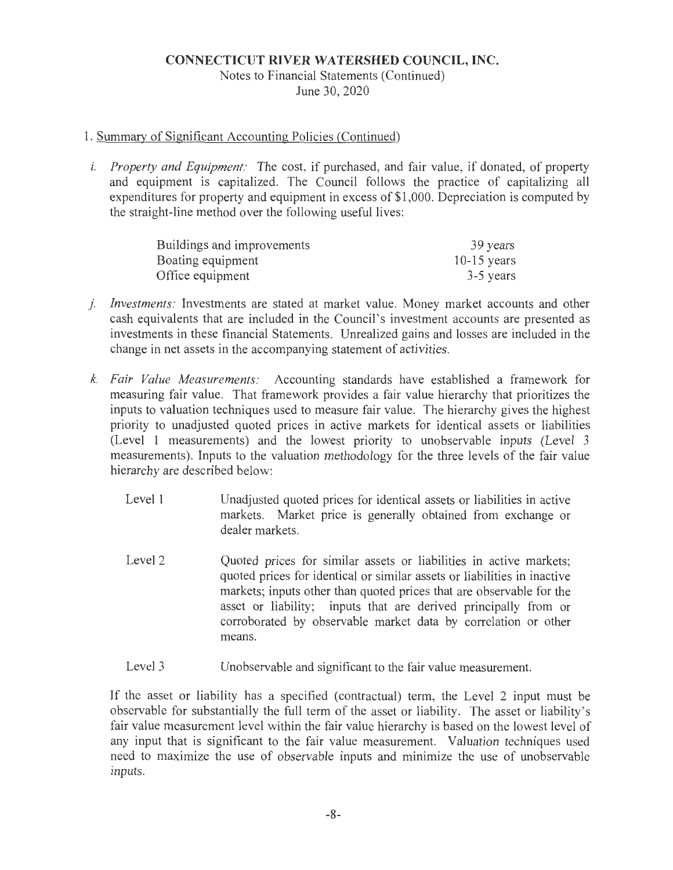# Notes to Financial Statements (Continued) June 30, 2020

## 1. Summary of Significant Accounting Policies (Continued)

*i. Property and Equipment:* The cost, if purchased, and fair value, if donated, of property and equipment is capitalized. The Council follows the practice of capitalizing all expenditures for property and equipment in excess of \$1 ,000. Depreciation is computed by the straight-line method over the following useful lives:

| Buildings and improvements | 39 years      |
|----------------------------|---------------|
| Boating equipment          | $10-15$ years |
| Office equipment           | $3-5$ years   |

- *j. Investments:* Investments are stated at market value. Money market accounts and other cash equivalents that are included in the Council's investment accounts are presented as investments in these financial Statements. Unrealized gains and losses are included in the change in net assets in the accompanying statement of activities.
- *k. Fair Value Measurements:* Accounting standards have established a framework for measuring fair value. That framework provides a fair value hierarchy that prioritizes the inputs to valuation techniques used to measure fair value. The hierarchy gives the highest priority to unadjusted quoted prices in active markets for identical assets or liabilities (Level 1 measurements) and the lowest priority to unobservable inputs (Level 3 measurements). Inputs to the valuation methodology for the three levels of the fair value hierarchy are described below:
	- Level 1 Unadjusted quoted prices for identical assets or liabilities in active markets. Market price is generally obtained from exchange or dealer markets.
	- Level 2 Quoted prices for similar assets or liabilities in active markets; quoted prices for identical or similar assets or liabilities in inactive markets; inputs other than quoted prices that are observable for the asset or liability; inputs that are derived principally from or corroborated by observable market data by correlation or other means.
	- Level 3 Unobservable and significant to the fair value measurement.

If the asset or liability has a specified ( contractual) term, the Level 2 input must be observable for substantially the full term of the asset or liability. The asset or liability's fair value measurement level within the fair value hierarchy is based on the lowest level of any input that is significant to the fair value measurement. Valuation techniques used need to maximize the use of observable inputs and minimize the use of unobservable inputs.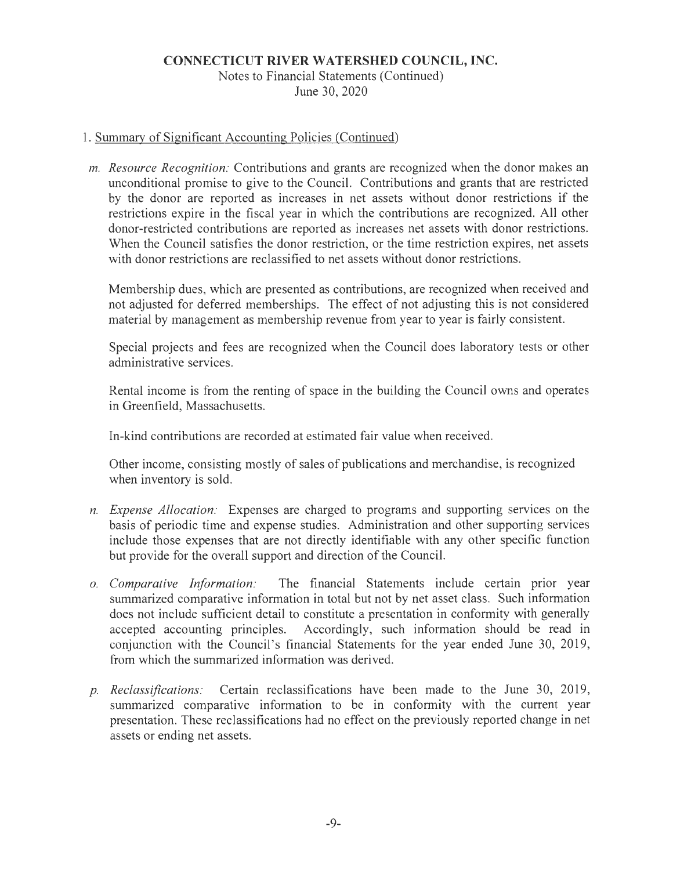# Notes to Financial Statements (Continued) June 30, 2020

### 1. Summary of Significant Accounting Policies (Continued)

*m. Resource Recognition:* Contributions and grants are recognized when the donor makes an unconditional promise to give to the Council. Contributions and grants that are restricted by the donor are reported as increases in net assets without donor restrictions if the restrictions expire in the fiscal year in which the contributions are recognized. All other donor-restricted contributions are reported as increases net assets with donor restrictions. When the Council satisfies the donor restriction, or the time restriction expires, net assets with donor restrictions are reclassified to net assets without donor restrictions.

Membership dues, which are presented as contributions, are recognized when received and not adjusted for deferred memberships. The effect of not adjusting this is not considered material by management as membership revenue from year to year is fairly consistent.

Special projects and fees are recognized when the Council does laboratory tests or other administrative services.

Rental income is from the renting of space in the building the Council owns and operates in Greenfield, Massachusetts.

In-kind contributions are recorded at estimated fair value when received.

Other income, consisting mostly of sales of publications and merchandise, is recognized when inventory is sold.

- n. *Expense Allocation:* Expenses are charged to programs and supporting services on the basis of periodic time and expense studies. Administration and other supporting services include those expenses that are not directly identifiable with any other specific function but provide for the overall support and direction of the Council.
- *o. Comparative Information:* The financial Statements include certain prior year summarized comparative information in total but not by net asset class. Such information does not include sufficient detail to constitute a presentation in conformity with generally accepted accounting principles. Accordingly, such information should be read in conjunction with the Council's financial Statements for the year ended June 30, 2019, from which the summarized information was derived.
- *p. Reclassifications:* Certain reclassifications have been made to the June 30, 2019, summarized comparative information to be in conformity with the current year presentation. These reclassifications had no effect on the previously reported change in net assets or ending net assets.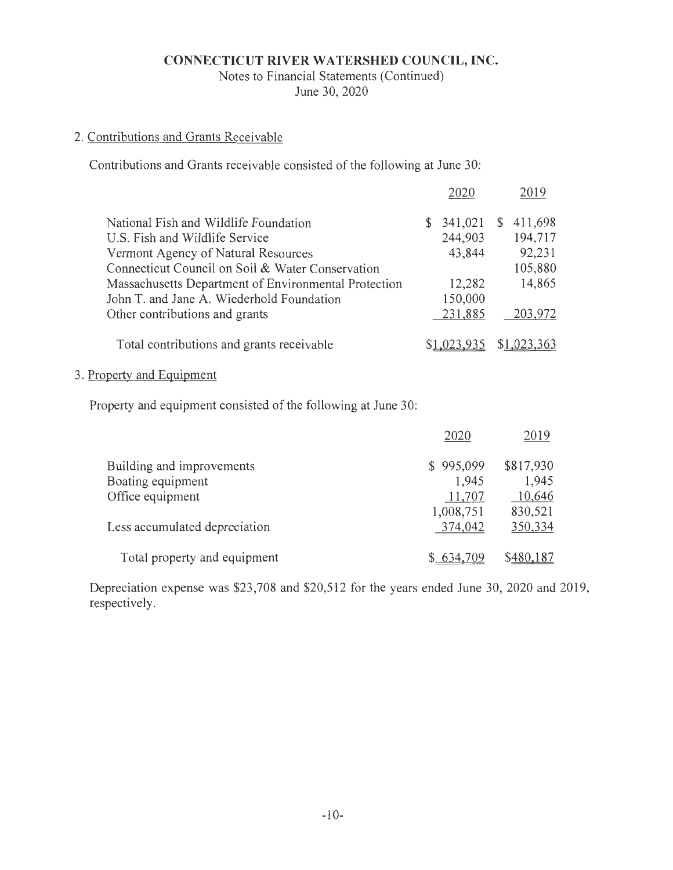# Notes to Financial Statements (Continued) June 30, 2020

# 2. Contributions and Grants Receivable

Contributions and Grants receivable consisted of the following at June 30:

|                                                      |   | 2020       |    | 2019    |
|------------------------------------------------------|---|------------|----|---------|
| National Fish and Wildlife Foundation                | S | 341,021    | S. | 411,698 |
| U.S. Fish and Wildlife Service                       |   | 244,903    |    | 194,717 |
| Vermont Agency of Natural Resources                  |   | 43,844     |    | 92,231  |
| Connecticut Council on Soil & Water Conservation     |   |            |    | 105,880 |
| Massachusetts Department of Environmental Protection |   | 12,282     |    | 14,865  |
| John T. and Jane A. Wiederhold Foundation            |   | 150,000    |    |         |
| Other contributions and grants                       |   | 231,885    |    | 203,972 |
| Total contributions and grants receivable            |   | \$1,023,93 |    |         |

# 3. Property and Equipment

Property and equipment consisted of the following at June 30:

|                               | 2020      | 2019      |
|-------------------------------|-----------|-----------|
| Building and improvements     | \$995,099 | \$817,930 |
| Boating equipment             | 1,945     | 1,945     |
| Office equipment              | 11,707    | 10,646    |
|                               | 1,008,751 | 830,521   |
| Less accumulated depreciation | 374,042   | 350,334   |
| Total property and equipment  | \$634,709 | \$480,187 |

Depreciation expense was \$23,708 and \$20,512 for the years ended June 30, 2020 and 2019, respectively.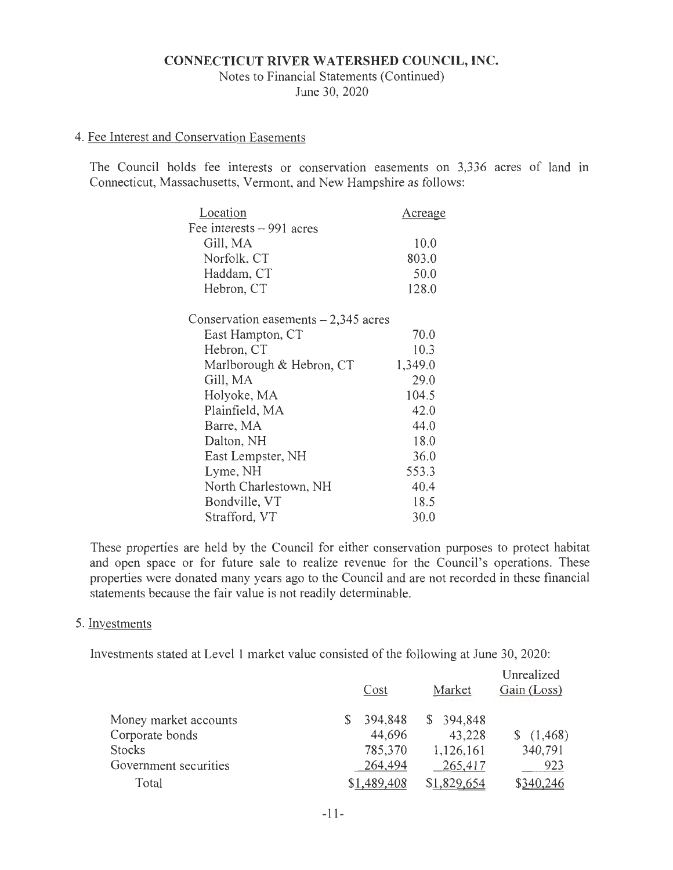### Notes to Financial Statements (Continued) June 30, 2020

#### 4. Fee Interest and Conservation Easements

The Council holds fee interests or conservation easements on 3,336 acres of land in Connecticut, Massachusetts, Vermont, and New Hampshire as follows:

| Location                              | <u>Acreage</u> |
|---------------------------------------|----------------|
| Fee interests - 991 acres             |                |
| Gill, MA                              | 10.0           |
| Norfolk, CT                           | 803.0          |
| Haddam, CT                            | 50.0           |
| Hebron, CT                            | 128.0          |
| Conservation easements $-2,345$ acres |                |
| East Hampton, CT                      | 70.0           |
| Hebron, CT                            | 10.3           |
| Marlborough & Hebron, CT              | 1,349.0        |
| Gill, MA                              | 29.0           |
| Holyoke, MA                           | 104.5          |
| Plainfield, MA                        | 42.0           |
| Barre, MA                             | 44.0           |
| Dalton, NH                            | 18.0           |
| East Lempster, NH                     | 36.0           |
| Lyme, NH                              | 553.3          |
| North Charlestown, NH                 | 40.4           |
| Bondville, VT                         | 18.5           |
| Strafford, VT                         | 30.0           |

These properties are held by the Council for either conservation purposes to protect habitat and open space or for future sale to realize revenue for the Council's operations. These properties were donated many years ago to the Council and are not recorded in these financial statements because the fair value is not readily determinable.

### 5. Investments

Investments stated at Level 1 market value consisted of the following at June 30, 2020:

|                       | Cost        | Market                    | Unrealized<br>Gain (Loss) |
|-----------------------|-------------|---------------------------|---------------------------|
| Money market accounts | 394,848     | 394,848<br>$\mathbb{S}^-$ |                           |
| Corporate bonds       | 44,696      | 43,228                    | (1, 468)<br>S.            |
| <b>Stocks</b>         | 785,370     | 1,126,161                 | 340,791                   |
| Government securities | 264,494     | 265,417                   | 923                       |
| Total                 | \$1,489,408 | \$1,829,654               | \$340,246                 |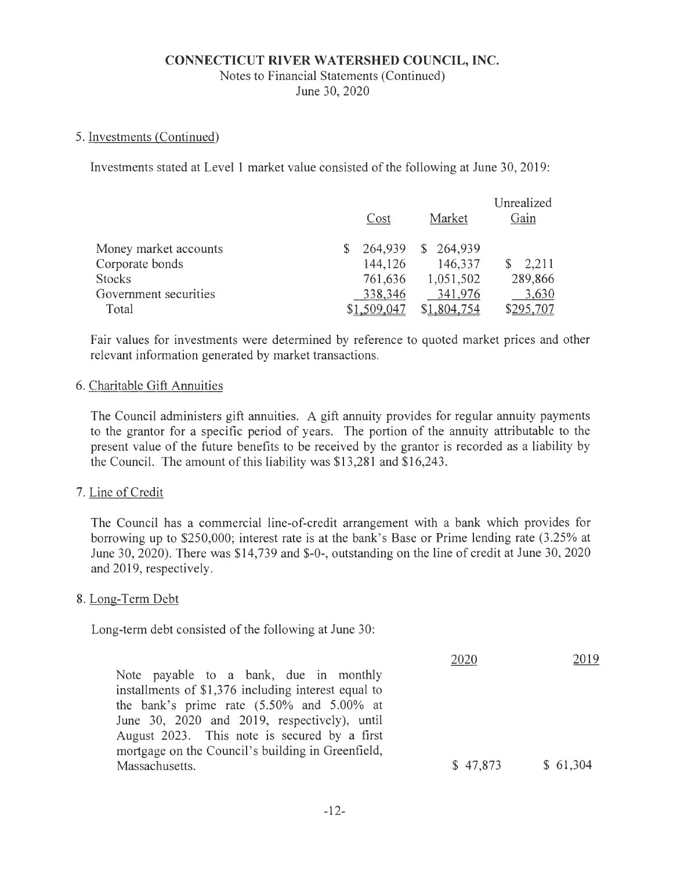### Notes to Financial Statements (Continued) June 30, 2020

### 5. Investments (Continued)

Investments stated at Level 1 market value consisted of the following at June 30, 2019:

|                       | Cost        | Market             | Unrealized<br>Gain |
|-----------------------|-------------|--------------------|--------------------|
| Money market accounts | S.          | 264,939 \$ 264,939 |                    |
| Corporate bonds       | 144,126     | 146,337            | 2,211              |
| <b>Stocks</b>         | 761,636     | 1,051,502          | 289,866            |
| Government securities | 338,346     | 341,976            | 3,630              |
| Total                 | \$1,509,047 | \$1,804,754        | \$295.707          |

Fair values for investments were determined by reference to quoted market prices and other relevant information generated by market transactions.

### 6. Charitable Gift Annuities

The Council administers gift annuities. A gift annuity provides for regular annuity payments to the grantor for a specific period of years. The portion of the annuity attributable to the present value of the future benefits to be received by the grantor is recorded as a liability by the Council. The amount of this liability was \$13,281 and \$16,243.

### 7. Line of Credit

The Council has a commercial line-of-credit arrangement with a bank which provides for borrowing up to \$250,000; interest rate is at the bank's Base or Prime lending rate (3.25% at June 30, 2020). There was \$14,739 and \$-0-, outstanding on the line of credit at June 30, 2020 and 2019, respectively.

### 8. Long-Term Debt

Long-term debt consisted of the following at June 30:

|                                                     | 2020                | 2019 |
|-----------------------------------------------------|---------------------|------|
| Note payable to a bank, due in monthly              |                     |      |
| installments of \$1,376 including interest equal to |                     |      |
| the bank's prime rate $(5.50\%$ and $5.00\%$ at     |                     |      |
| June 30, 2020 and 2019, respectively), until        |                     |      |
| August 2023. This note is secured by a first        |                     |      |
| mortgage on the Council's building in Greenfield,   |                     |      |
| Massachusetts.                                      | $$47,873$ $$61,304$ |      |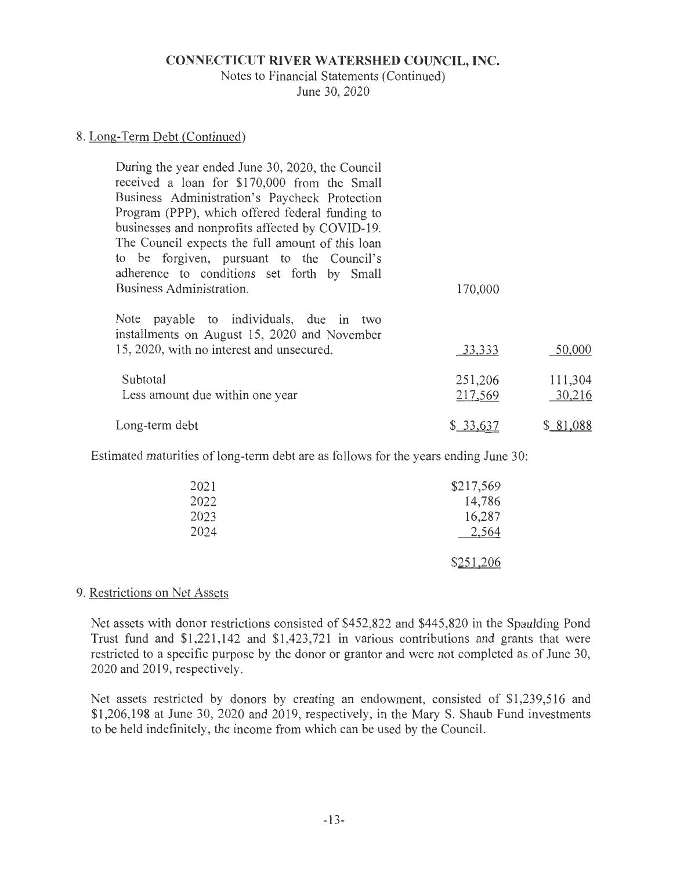### Notes to Financial Statements (Continued) June 30, 2020

### 8. Long-Term Debt (Continued)

| During the year ended June 30, 2020, the Council<br>received a loan for \$170,000 from the Small<br>Business Administration's Paycheck Protection<br>Program (PPP), which offered federal funding to<br>businesses and nonprofits affected by COVID-19.<br>The Council expects the full amount of this loan<br>to be forgiven, pursuant to the Council's |                    |                   |
|----------------------------------------------------------------------------------------------------------------------------------------------------------------------------------------------------------------------------------------------------------------------------------------------------------------------------------------------------------|--------------------|-------------------|
| adherence to conditions set forth by Small<br>Business Administration.                                                                                                                                                                                                                                                                                   | 170,000            |                   |
| Note payable to individuals, due in two<br>installments on August 15, 2020 and November<br>15, 2020, with no interest and unsecured.                                                                                                                                                                                                                     | 33,333             | 50,000            |
| Subtotal<br>Less amount due within one year                                                                                                                                                                                                                                                                                                              | 251,206<br>217,569 | 111,304<br>30,216 |
| Long-term debt                                                                                                                                                                                                                                                                                                                                           | \$33,637           | \$81,088          |

Estimated maturities of long-term debt are as follows for the years ending June 30:

| \$217,569 |           |
|-----------|-----------|
|           | 14,786    |
|           | 16,287    |
|           | 2,564     |
|           |           |
|           | \$251,206 |

### 9. Restrictions on Net Assets

Net assets with donor restrictions consisted of \$452,822 and \$445,820 in the Spaulding Pond Trust fund and \$1,221,142 and \$1,423,721 in various contributions and grants that were restricted to a specific purpose by the donor or grantor and were not completed as of June 30, 2020 and 2019, respectively.

Net assets restricted by donors by creating an endowment, consisted of \$1,239,516 and \$1 ,206, 198 at June 30, 2020 and 2019, respectively, in the Mary S. Shaub Fund investments to be held indefinitely, the income from which can be used by the Council.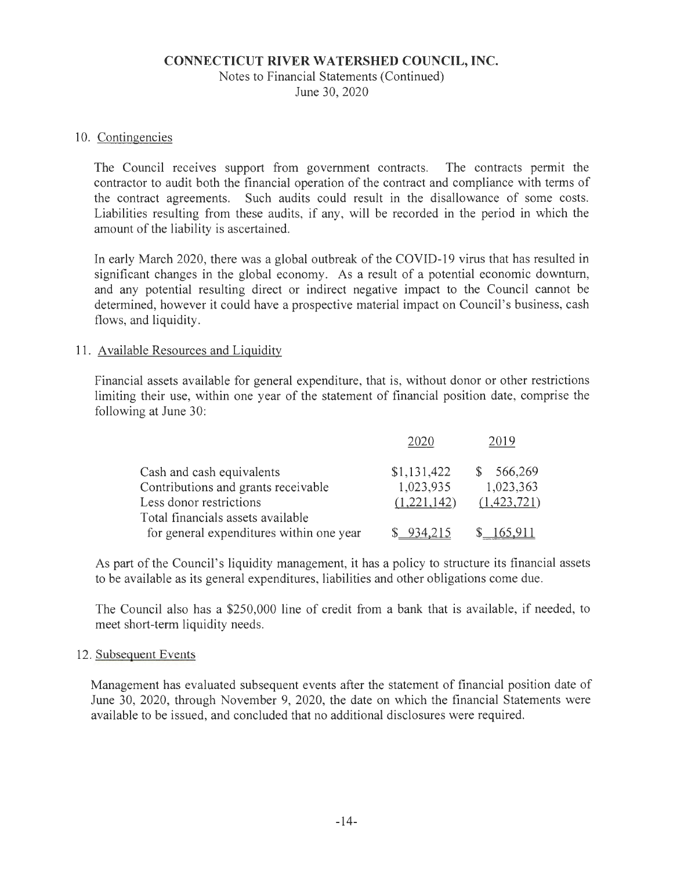### Notes to Financial Statements (Continued) June 30, 2020

### 10. Contingencies

The Council receives support from government contracts. The contracts permit the contractor to audit both the financial operation of the contract and compliance with terms of the contract agreements. Such audits could result in the disallowance of some costs. Liabilities resulting from these audits, if any, will be recorded in the period in which the amount of the liability is ascertained.

In early March 2020, there was a global outbreak of the COVID-19 virus that has resulted in significant changes in the global economy. As a result of a potential economic downturn, and any potential resulting direct or indirect negative impact to the Council cannot be determined, however it could have a prospective material impact on Council's business, cash flows, and liquidity.

### 11. Available Resources and Liquidity

Financial assets available for general expenditure, that is, without donor or other restrictions limiting their use, within one year of the statement of financial position date, comprise the following at June 30:

|                                          | 2020                | 2019          |
|------------------------------------------|---------------------|---------------|
| Cash and cash equivalents                | \$1,131,422         | 566,269<br>S. |
| Contributions and grants receivable      | 1,023,935           | 1,023,363     |
| Less donor restrictions                  | (1,221,142)         | (1,423,721)   |
| Total financials assets available        |                     |               |
| for general expenditures within one year | $\frac{934,215}{ }$ | \$165,911     |

As part of the Council's liquidity management, it has a policy to structure its financial assets to be available as its general expenditures, liabilities and other obligations come due.

The Council also has a \$250,000 line of credit from a bank that is available, if needed, to meet short-term liquidity needs.

### 12. Subsequent Events

Management has evaluated subsequent events after the statement of financial position date of June 30, 2020, through November 9, 2020, the date on which the financial Statements were available to be issued, and concluded that no additional disclosures were required.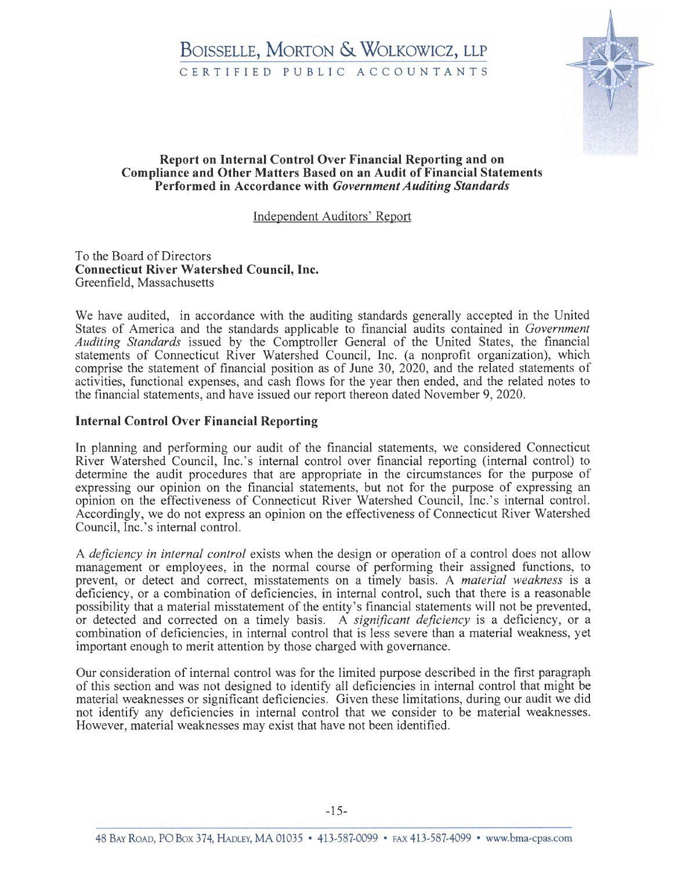# BOISSELLE, MORTON & WOLKOWICZ, LLP CERTIFIED PUBLIC ACCOUNTANTS



### **Report on Internal Control Over Financial Reporting and on Compliance and Other Matters Based on an Audit of Financial Statements Performed in Accordance with** *Government Auditing Standards*

### Independent Auditors' Report

To the Board of Directors **Connecticut River Watershed Council, Inc.**  Greenfield, Massachusetts

We have audited, in accordance with the auditing standards generally accepted in the United States of America and the standards applicable to financial audits contained in *Government Auditing Standards* issued by the Comptroller General of the United States, the financial statements of Connecticut River Watershed Council, Inc. (a nonprofit organization), which comprise the statement of financial position as of June 30, 2020, and the related statements of activities, functional expenses, and cash flows for the year then ended, and the related notes to the financial statements, and have issued our report thereon dated November 9, 2020.

## **Internal Control Over Financial Reporting**

In planning and performing our audit of the financial statements, we considered Connecticut River Watershed Council, Inc. 's internal control over financial reporting (internal control) to determine the audit procedures that are appropriate in the circumstances for the purpose of expressing our opinion on the financial statements, but not for the purpose of expressing an opinion on the effectiveness of Connecticut River Watershed Council, Inc. 's internal control. Accordingly, we do not express an opinion on the effectiveness of Connecticut River Watershed Council, Inc.'s internal control.

A *deficiency in internal control* exists when the design or operation of a control does not allow management or employees, in the normal course of performing their assigned functions, to prevent, or detect and correct, misstatements on a timely basis. A *material weakness* is a deficiency, or a combination of deficiencies, in internal control, such that there is a reasonable possibility that a material misstatement of the entity's financial statements will not be prevented, or detected and corrected on a timely basis. A *significant deficiency* is a deficiency, or a combination of deficiencies, in internal control that is less severe than a material weakness, yet important enough to merit attention by those charged with governance.

Our consideration of internal control was for the limited purpose described in the first paragraph of this section and was not designed to identify all deficiencies in internal control that might be material weaknesses or significant deficiencies. Given these limitations, during our audit we did not identify any deficiencies in internal control that we consider to be material weaknesses. However, material weaknesses may exist that have not been identified.